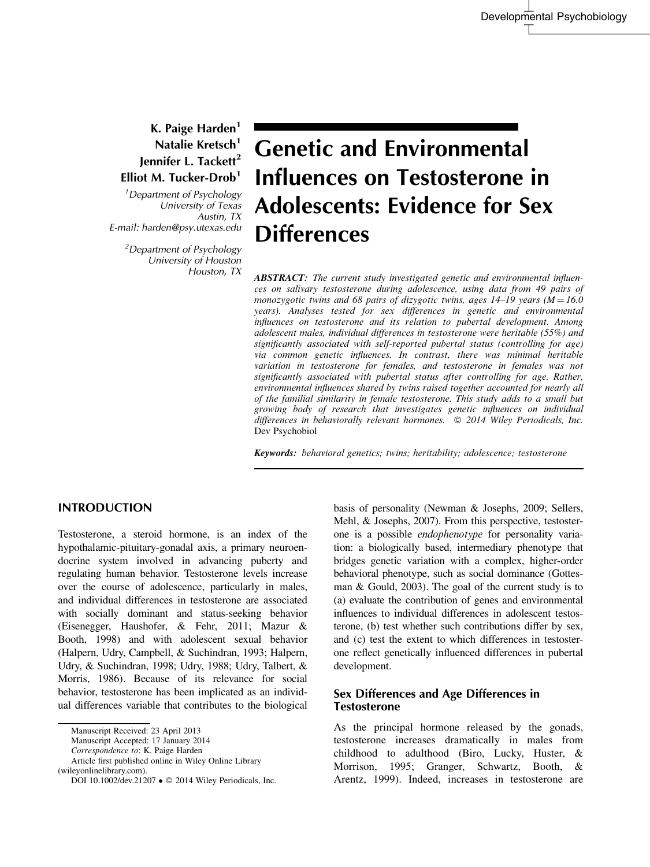## K. Paige Harden $<sup>1</sup>$ </sup> Natalie Kretsch<sup>1</sup> Jennifer L. Tackett<sup>2</sup> Elliot M. Tucker-Drob<sup>1</sup>

<sup>1</sup> Department of Psychology University of Texas Austin, TX E-mail: harden@psy.utexas.edu

> <sup>2</sup>Department of Psychology University of Houston Houston, TX

# Genetic and Environmental Influences on Testosterone in Adolescents: Evidence for Sex **Differences**

ABSTRACT: The current study investigated genetic and environmental influences on salivary testosterone during adolescence, using data from 49 pairs of monozygotic twins and 68 pairs of dizygotic twins, ages  $14-19$  years ( $M = 16.0$ ) years). Analyses tested for sex differences in genetic and environmental influences on testosterone and its relation to pubertal development. Among adolescent males, individual differences in testosterone were heritable (55%) and significantly associated with self-reported pubertal status (controlling for age) via common genetic influences. In contrast, there was minimal heritable variation in testosterone for females, and testosterone in females was not significantly associated with pubertal status after controlling for age. Rather, environmental influences shared by twins raised together accounted for nearly all of the familial similarity in female testosterone. This study adds to a small but growing body of research that investigates genetic influences on individual differences in behaviorally relevant hormones.  $\oslash$  2014 Wiley Periodicals, Inc. Dev Psychobiol

Keywords: behavioral genetics; twins; heritability; adolescence; testosterone

#### INTRODUCTION

Testosterone, a steroid hormone, is an index of the hypothalamic-pituitary-gonadal axis, a primary neuroendocrine system involved in advancing puberty and regulating human behavior. Testosterone levels increase over the course of adolescence, particularly in males, and individual differences in testosterone are associated with socially dominant and status-seeking behavior (Eisenegger, Haushofer, & Fehr, 2011; Mazur & Booth, 1998) and with adolescent sexual behavior (Halpern, Udry, Campbell, & Suchindran, 1993; Halpern, Udry, & Suchindran, 1998; Udry, 1988; Udry, Talbert, & Morris, 1986). Because of its relevance for social behavior, testosterone has been implicated as an individual differences variable that contributes to the biological

Manuscript Accepted: 17 January 2014

Correspondence to: K. Paige Harden

(wileyonlinelibrary.com).

basis of personality (Newman & Josephs, 2009; Sellers, Mehl, & Josephs, 2007). From this perspective, testosterone is a possible endophenotype for personality variation: a biologically based, intermediary phenotype that bridges genetic variation with a complex, higher-order behavioral phenotype, such as social dominance (Gottesman & Gould, 2003). The goal of the current study is to (a) evaluate the contribution of genes and environmental influences to individual differences in adolescent testosterone, (b) test whether such contributions differ by sex, and (c) test the extent to which differences in testosterone reflect genetically influenced differences in pubertal development.

### Sex Differences and Age Differences in **Testosterone**

As the principal hormone released by the gonads, testosterone increases dramatically in males from childhood to adulthood (Biro, Lucky, Huster, & Morrison, 1995; Granger, Schwartz, Booth, & Arentz, 1999). Indeed, increases in testosterone are

Manuscript Received: 23 April 2013

Article first published online in Wiley Online Library

DOI 10.1002/dev.21207 • © 2014 Wiley Periodicals, Inc.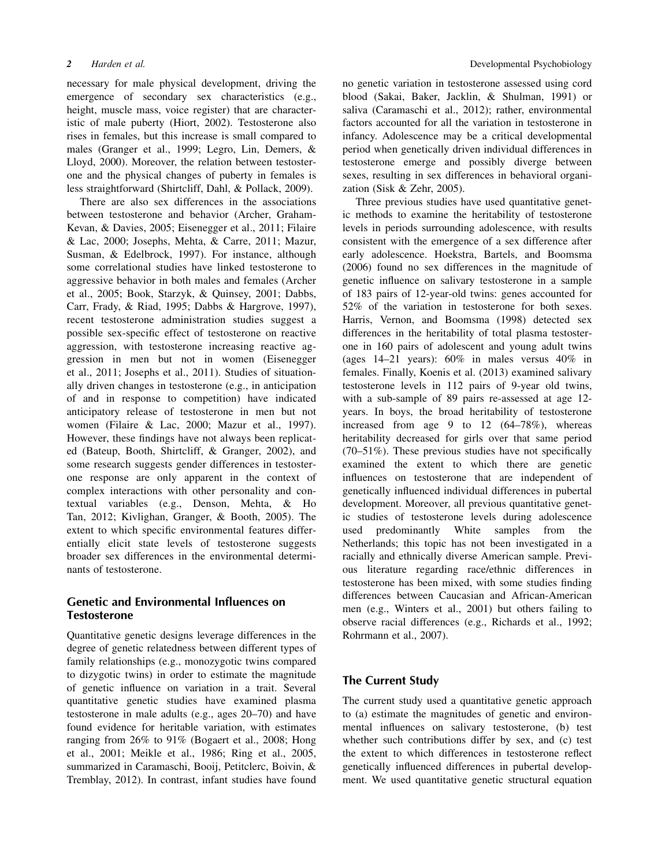necessary for male physical development, driving the emergence of secondary sex characteristics (e.g., height, muscle mass, voice register) that are characteristic of male puberty (Hiort, 2002). Testosterone also rises in females, but this increase is small compared to males (Granger et al., 1999; Legro, Lin, Demers, & Lloyd, 2000). Moreover, the relation between testosterone and the physical changes of puberty in females is less straightforward (Shirtcliff, Dahl, & Pollack, 2009).

There are also sex differences in the associations between testosterone and behavior (Archer, Graham-Kevan, & Davies, 2005; Eisenegger et al., 2011; Filaire & Lac, 2000; Josephs, Mehta, & Carre, 2011; Mazur, Susman, & Edelbrock, 1997). For instance, although some correlational studies have linked testosterone to aggressive behavior in both males and females (Archer et al., 2005; Book, Starzyk, & Quinsey, 2001; Dabbs, Carr, Frady, & Riad, 1995; Dabbs & Hargrove, 1997), recent testosterone administration studies suggest a possible sex-specific effect of testosterone on reactive aggression, with testosterone increasing reactive aggression in men but not in women (Eisenegger et al., 2011; Josephs et al., 2011). Studies of situationally driven changes in testosterone (e.g., in anticipation of and in response to competition) have indicated anticipatory release of testosterone in men but not women (Filaire & Lac, 2000; Mazur et al., 1997). However, these findings have not always been replicated (Bateup, Booth, Shirtcliff, & Granger, 2002), and some research suggests gender differences in testosterone response are only apparent in the context of complex interactions with other personality and contextual variables (e.g., Denson, Mehta, & Ho Tan, 2012; Kivlighan, Granger, & Booth, 2005). The extent to which specific environmental features differentially elicit state levels of testosterone suggests broader sex differences in the environmental determinants of testosterone.

### Genetic and Environmental Influences on Testosterone

Quantitative genetic designs leverage differences in the degree of genetic relatedness between different types of family relationships (e.g., monozygotic twins compared to dizygotic twins) in order to estimate the magnitude of genetic influence on variation in a trait. Several quantitative genetic studies have examined plasma testosterone in male adults (e.g., ages 20–70) and have found evidence for heritable variation, with estimates ranging from 26% to 91% (Bogaert et al., 2008; Hong et al., 2001; Meikle et al., 1986; Ring et al., 2005, summarized in Caramaschi, Booij, Petitclerc, Boivin, & Tremblay, 2012). In contrast, infant studies have found no genetic variation in testosterone assessed using cord blood (Sakai, Baker, Jacklin, & Shulman, 1991) or saliva (Caramaschi et al., 2012); rather, environmental factors accounted for all the variation in testosterone in infancy. Adolescence may be a critical developmental period when genetically driven individual differences in testosterone emerge and possibly diverge between sexes, resulting in sex differences in behavioral organization (Sisk & Zehr, 2005).

Three previous studies have used quantitative genetic methods to examine the heritability of testosterone levels in periods surrounding adolescence, with results consistent with the emergence of a sex difference after early adolescence. Hoekstra, Bartels, and Boomsma (2006) found no sex differences in the magnitude of genetic influence on salivary testosterone in a sample of 183 pairs of 12-year-old twins: genes accounted for 52% of the variation in testosterone for both sexes. Harris, Vernon, and Boomsma (1998) detected sex differences in the heritability of total plasma testosterone in 160 pairs of adolescent and young adult twins (ages 14–21 years): 60% in males versus 40% in females. Finally, Koenis et al. (2013) examined salivary testosterone levels in 112 pairs of 9-year old twins, with a sub-sample of 89 pairs re-assessed at age 12 years. In boys, the broad heritability of testosterone increased from age 9 to 12 (64–78%), whereas heritability decreased for girls over that same period (70–51%). These previous studies have not specifically examined the extent to which there are genetic influences on testosterone that are independent of genetically influenced individual differences in pubertal development. Moreover, all previous quantitative genetic studies of testosterone levels during adolescence used predominantly White samples from the Netherlands; this topic has not been investigated in a racially and ethnically diverse American sample. Previous literature regarding race/ethnic differences in testosterone has been mixed, with some studies finding differences between Caucasian and African-American men (e.g., Winters et al., 2001) but others failing to observe racial differences (e.g., Richards et al., 1992; Rohrmann et al., 2007).

### The Current Study

The current study used a quantitative genetic approach to (a) estimate the magnitudes of genetic and environmental influences on salivary testosterone, (b) test whether such contributions differ by sex, and (c) test the extent to which differences in testosterone reflect genetically influenced differences in pubertal development. We used quantitative genetic structural equation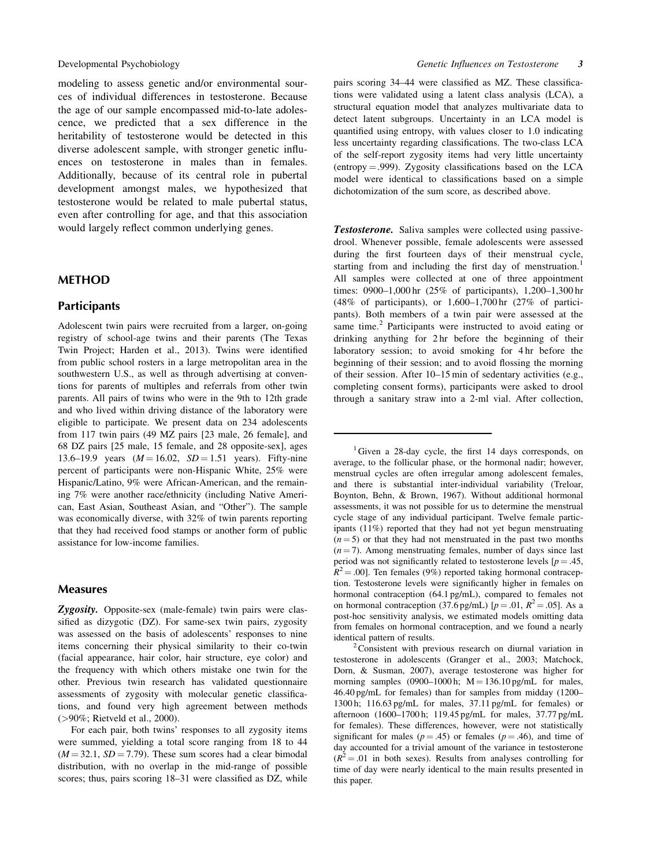modeling to assess genetic and/or environmental sources of individual differences in testosterone. Because the age of our sample encompassed mid-to-late adolescence, we predicted that a sex difference in the heritability of testosterone would be detected in this diverse adolescent sample, with stronger genetic influences on testosterone in males than in females. Additionally, because of its central role in pubertal development amongst males, we hypothesized that testosterone would be related to male pubertal status, even after controlling for age, and that this association would largely reflect common underlying genes.

#### METHOD

#### **Participants**

Adolescent twin pairs were recruited from a larger, on-going registry of school-age twins and their parents (The Texas Twin Project; Harden et al., 2013). Twins were identified from public school rosters in a large metropolitan area in the southwestern U.S., as well as through advertising at conventions for parents of multiples and referrals from other twin parents. All pairs of twins who were in the 9th to 12th grade and who lived within driving distance of the laboratory were eligible to participate. We present data on 234 adolescents from 117 twin pairs (49 MZ pairs [23 male, 26 female], and 68 DZ pairs [25 male, 15 female, and 28 opposite-sex], ages 13.6–19.9 years  $(M = 16.02, SD = 1.51$  years). Fifty-nine percent of participants were non-Hispanic White, 25% were Hispanic/Latino, 9% were African-American, and the remaining 7% were another race/ethnicity (including Native American, East Asian, Southeast Asian, and "Other"). The sample was economically diverse, with 32% of twin parents reporting that they had received food stamps or another form of public assistance for low-income families.

#### Measures

Zygosity. Opposite-sex (male-female) twin pairs were classified as dizygotic (DZ). For same-sex twin pairs, zygosity was assessed on the basis of adolescents' responses to nine items concerning their physical similarity to their co-twin (facial appearance, hair color, hair structure, eye color) and the frequency with which others mistake one twin for the other. Previous twin research has validated questionnaire assessments of zygosity with molecular genetic classifications, and found very high agreement between methods (>90%; Rietveld et al., 2000).

For each pair, both twins' responses to all zygosity items were summed, yielding a total score ranging from 18 to 44  $(M = 32.1, SD = 7.79)$ . These sum scores had a clear bimodal distribution, with no overlap in the mid-range of possible scores; thus, pairs scoring 18–31 were classified as DZ, while pairs scoring 34–44 were classified as MZ. These classifications were validated using a latent class analysis (LCA), a structural equation model that analyzes multivariate data to detect latent subgroups. Uncertainty in an LCA model is quantified using entropy, with values closer to 1.0 indicating less uncertainty regarding classifications. The two-class LCA of the self-report zygosity items had very little uncertainty  $(entropy = .999)$ . Zygosity classifications based on the LCA model were identical to classifications based on a simple dichotomization of the sum score, as described above.

**Testosterone.** Saliva samples were collected using passivedrool. Whenever possible, female adolescents were assessed during the first fourteen days of their menstrual cycle, starting from and including the first day of menstruation.<sup>1</sup> All samples were collected at one of three appointment times: 0900–1,000 hr (25% of participants), 1,200–1,300 hr (48% of participants), or 1,600–1,700 hr (27% of participants). Both members of a twin pair were assessed at the same time.<sup>2</sup> Participants were instructed to avoid eating or drinking anything for 2 hr before the beginning of their laboratory session; to avoid smoking for 4 hr before the beginning of their session; and to avoid flossing the morning of their session. After 10–15 min of sedentary activities (e.g., completing consent forms), participants were asked to drool through a sanitary straw into a 2-ml vial. After collection,

<sup>1</sup>Given a 28-day cycle, the first 14 days corresponds, on average, to the follicular phase, or the hormonal nadir; however, menstrual cycles are often irregular among adolescent females, and there is substantial inter-individual variability (Treloar, Boynton, Behn, & Brown, 1967). Without additional hormonal assessments, it was not possible for us to determine the menstrual cycle stage of any individual participant. Twelve female participants (11%) reported that they had not yet begun menstruating  $(n = 5)$  or that they had not menstruated in the past two months  $(n = 7)$ . Among menstruating females, number of days since last period was not significantly related to testosterone levels  $[p = .45,$  $R^2 = .00$ ]. Ten females (9%) reported taking hormonal contraception. Testosterone levels were significantly higher in females on hormonal contraception (64.1 pg/mL), compared to females not on hormonal contraception (37.6 pg/mL)  $[p = .01, R^2 = .05]$ . As a post-hoc sensitivity analysis, we estimated models omitting data from females on hormonal contraception, and we found a nearly identical pattern of results.

 $2$ Consistent with previous research on diurnal variation in testosterone in adolescents (Granger et al., 2003; Matchock, Dorn, & Susman, 2007), average testosterone was higher for morning samples (0900–1000 h;  $M = 136.10$  pg/mL for males, 46.40 pg/mL for females) than for samples from midday (1200– 1300 h; 116.63 pg/mL for males, 37.11 pg/mL for females) or afternoon (1600–1700 h; 119.45 pg/mL for males, 37.77 pg/mL for females). These differences, however, were not statistically significant for males ( $p = .45$ ) or females ( $p = .46$ ), and time of day accounted for a trivial amount of the variance in testosterone  $(R^2 = .01$  in both sexes). Results from analyses controlling for time of day were nearly identical to the main results presented in this paper.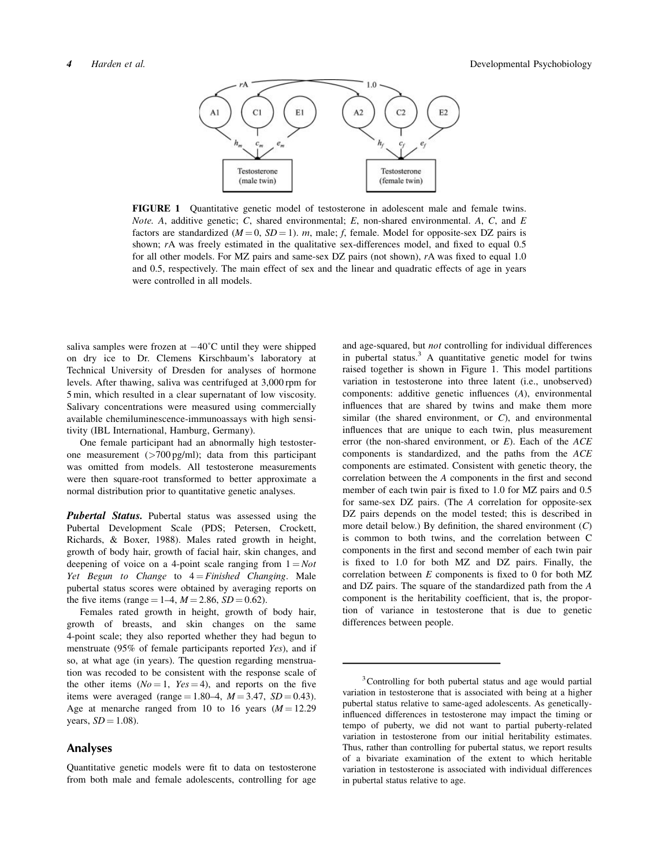

FIGURE 1 Quantitative genetic model of testosterone in adolescent male and female twins. Note. A, additive genetic; C, shared environmental; E, non-shared environmental. A, C, and  $E$ factors are standardized  $(M = 0, SD = 1)$ . m, male; f, female. Model for opposite-sex DZ pairs is shown; rA was freely estimated in the qualitative sex-differences model, and fixed to equal 0.5 for all other models. For MZ pairs and same-sex DZ pairs (not shown), rA was fixed to equal 1.0 and 0.5, respectively. The main effect of sex and the linear and quadratic effects of age in years were controlled in all models.

saliva samples were frozen at  $-40^{\circ}$ C until they were shipped on dry ice to Dr. Clemens Kirschbaum's laboratory at Technical University of Dresden for analyses of hormone levels. After thawing, saliva was centrifuged at 3,000 rpm for 5 min, which resulted in a clear supernatant of low viscosity. Salivary concentrations were measured using commercially available chemiluminescence-immunoassays with high sensitivity (IBL International, Hamburg, Germany).

One female participant had an abnormally high testosterone measurement (>700 pg/ml); data from this participant was omitted from models. All testosterone measurements were then square-root transformed to better approximate a normal distribution prior to quantitative genetic analyses.

Pubertal Status. Pubertal status was assessed using the Pubertal Development Scale (PDS; Petersen, Crockett, Richards, & Boxer, 1988). Males rated growth in height, growth of body hair, growth of facial hair, skin changes, and deepening of voice on a 4-point scale ranging from  $1 = Not$ Yet Begun to Change to  $4 = F\{inif\}$  Changing. Male pubertal status scores were obtained by averaging reports on the five items (range = 1–4,  $M = 2.86$ ,  $SD = 0.62$ ).

Females rated growth in height, growth of body hair, growth of breasts, and skin changes on the same 4-point scale; they also reported whether they had begun to menstruate (95% of female participants reported Yes), and if so, at what age (in years). The question regarding menstruation was recoded to be consistent with the response scale of the other items  $(No = 1, Yes = 4)$ , and reports on the five items were averaged (range = 1.80–4,  $M = 3.47$ ,  $SD = 0.43$ ). Age at menarche ranged from 10 to 16 years  $(M = 12.29)$ years,  $SD = 1.08$ ).

#### Analyses

Quantitative genetic models were fit to data on testosterone from both male and female adolescents, controlling for age and age-squared, but not controlling for individual differences in pubertal status.<sup>3</sup> A quantitative genetic model for twins raised together is shown in Figure 1. This model partitions variation in testosterone into three latent (i.e., unobserved) components: additive genetic influences (A), environmental influences that are shared by twins and make them more similar (the shared environment, or  $C$ ), and environmental influences that are unique to each twin, plus measurement error (the non-shared environment, or  $E$ ). Each of the  $ACE$ components is standardized, and the paths from the ACE components are estimated. Consistent with genetic theory, the correlation between the A components in the first and second member of each twin pair is fixed to 1.0 for MZ pairs and 0.5 for same-sex DZ pairs. (The A correlation for opposite-sex DZ pairs depends on the model tested; this is described in more detail below.) By definition, the shared environment  $(C)$ is common to both twins, and the correlation between C components in the first and second member of each twin pair is fixed to 1.0 for both MZ and DZ pairs. Finally, the correlation between  $E$  components is fixed to 0 for both MZ and DZ pairs. The square of the standardized path from the A component is the heritability coefficient, that is, the proportion of variance in testosterone that is due to genetic differences between people.

<sup>&</sup>lt;sup>3</sup> Controlling for both pubertal status and age would partial variation in testosterone that is associated with being at a higher pubertal status relative to same-aged adolescents. As geneticallyinfluenced differences in testosterone may impact the timing or tempo of puberty, we did not want to partial puberty-related variation in testosterone from our initial heritability estimates. Thus, rather than controlling for pubertal status, we report results of a bivariate examination of the extent to which heritable variation in testosterone is associated with individual differences in pubertal status relative to age.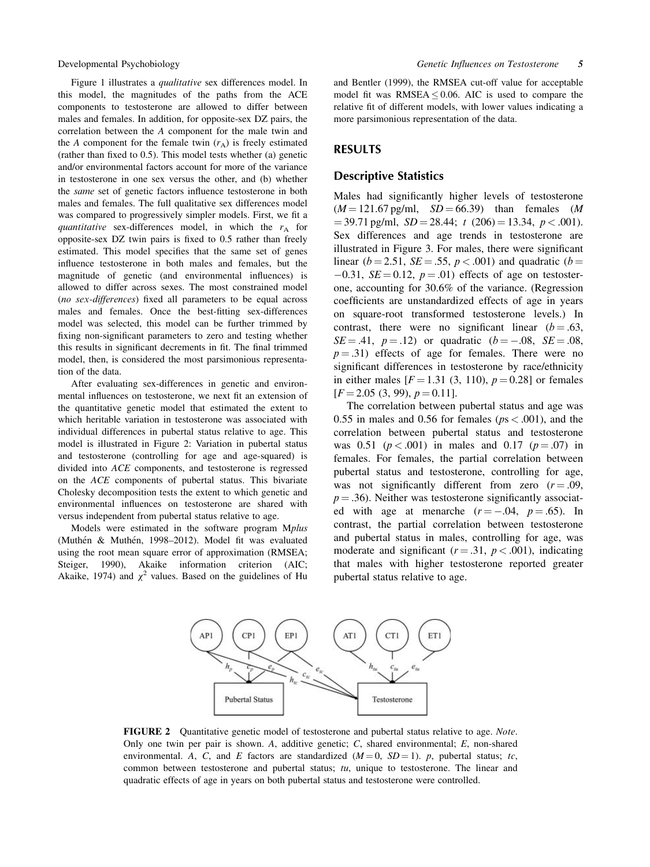Figure 1 illustrates a qualitative sex differences model. In this model, the magnitudes of the paths from the ACE components to testosterone are allowed to differ between males and females. In addition, for opposite-sex DZ pairs, the correlation between the A component for the male twin and the A component for the female twin  $(r_A)$  is freely estimated (rather than fixed to 0.5). This model tests whether (a) genetic and/or environmental factors account for more of the variance in testosterone in one sex versus the other, and (b) whether the *same* set of genetic factors influence testosterone in both males and females. The full qualitative sex differences model was compared to progressively simpler models. First, we fit a quantitative sex-differences model, in which the  $r_A$  for opposite-sex DZ twin pairs is fixed to 0.5 rather than freely estimated. This model specifies that the same set of genes influence testosterone in both males and females, but the magnitude of genetic (and environmental influences) is allowed to differ across sexes. The most constrained model (no sex-differences) fixed all parameters to be equal across males and females. Once the best-fitting sex-differences model was selected, this model can be further trimmed by fixing non-significant parameters to zero and testing whether this results in significant decrements in fit. The final trimmed model, then, is considered the most parsimonious representation of the data.

After evaluating sex-differences in genetic and environmental influences on testosterone, we next fit an extension of the quantitative genetic model that estimated the extent to which heritable variation in testosterone was associated with individual differences in pubertal status relative to age. This model is illustrated in Figure 2: Variation in pubertal status and testosterone (controlling for age and age-squared) is divided into ACE components, and testosterone is regressed on the ACE components of pubertal status. This bivariate Cholesky decomposition tests the extent to which genetic and environmental influences on testosterone are shared with versus independent from pubertal status relative to age.

Models were estimated in the software program Mplus (Muthén & Muthén, 1998–2012). Model fit was evaluated using the root mean square error of approximation (RMSEA; Steiger, 1990), Akaike information criterion (AIC; Akaike, 1974) and  $\chi^2$  values. Based on the guidelines of Hu

and Bentler (1999), the RMSEA cut-off value for acceptable model fit was RMSEA  $\leq$  0.06. AIC is used to compare the relative fit of different models, with lower values indicating a more parsimonious representation of the data.

#### RESULTS

#### Descriptive Statistics

Males had significantly higher levels of testosterone  $(M = 121.67 \text{ pg/ml}, SD = 66.39)$  than females  $(M = 121.67 \text{ pg/ml})$  $=$  39.71 pg/ml,  $SD = 28.44$ ; t (206)  $=$  13.34, p < .001). Sex differences and age trends in testosterone are illustrated in Figure 3. For males, there were significant linear ( $b = 2.51$ ,  $SE = .55$ ,  $p < .001$ ) and quadratic ( $b =$  $-0.31$ ,  $SE = 0.12$ ,  $p = .01$ ) effects of age on testosterone, accounting for 30.6% of the variance. (Regression coefficients are unstandardized effects of age in years on square-root transformed testosterone levels.) In contrast, there were no significant linear  $(b = .63, )$  $SE = .41$ ,  $p = .12$ ) or quadratic ( $b = -.08$ ,  $SE = .08$ ,  $p = .31$ ) effects of age for females. There were no significant differences in testosterone by race/ethnicity in either males  $[F = 1.31 (3, 110), p = 0.28]$  or females  $[F = 2.05 (3, 99), p = 0.11].$ 

The correlation between pubertal status and age was 0.55 in males and 0.56 for females ( $ps < .001$ ), and the correlation between pubertal status and testosterone was 0.51 ( $p < .001$ ) in males and 0.17 ( $p = .07$ ) in females. For females, the partial correlation between pubertal status and testosterone, controlling for age, was not significantly different from zero  $(r = .09, )$  $p = .36$ ). Neither was testosterone significantly associated with age at menarche  $(r = -.04, p = .65)$ . In contrast, the partial correlation between testosterone and pubertal status in males, controlling for age, was moderate and significant ( $r = .31$ ,  $p < .001$ ), indicating that males with higher testosterone reported greater pubertal status relative to age.



FIGURE 2 Quantitative genetic model of testosterone and pubertal status relative to age. Note. Only one twin per pair is shown. A, additive genetic; C, shared environmental; E, non-shared environmental. A, C, and E factors are standardized  $(M = 0, SD = 1)$ . p, pubertal status; tc, common between testosterone and pubertal status;  $tu$ , unique to testosterone. The linear and quadratic effects of age in years on both pubertal status and testosterone were controlled.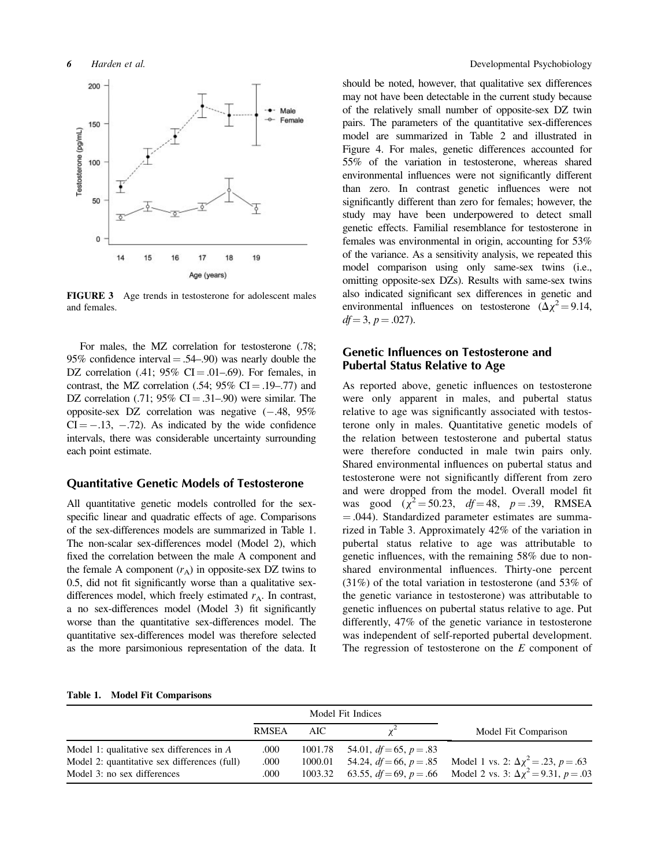

FIGURE 3 Age trends in testosterone for adolescent males and females.

For males, the MZ correlation for testosterone (.78; 95% confidence interval  $= .54$ –.90) was nearly double the DZ correlation  $(.41; 95\% \text{ CI} = .01-.69)$ . For females, in contrast, the MZ correlation  $(.54; 95\% \text{ CI} = .19-.77)$  and DZ correlation  $(.71; 95\% \text{ CI} = .31-0.90)$  were similar. The opposite-sex DZ correlation was negative  $(-.48, 95\%$  $CI = -.13, -.72$ . As indicated by the wide confidence intervals, there was considerable uncertainty surrounding each point estimate.

#### Quantitative Genetic Models of Testosterone

All quantitative genetic models controlled for the sexspecific linear and quadratic effects of age. Comparisons of the sex-differences models are summarized in Table 1. The non-scalar sex-differences model (Model 2), which fixed the correlation between the male A component and the female A component  $(r_A)$  in opposite-sex DZ twins to 0.5, did not fit significantly worse than a qualitative sexdifferences model, which freely estimated  $r_A$ . In contrast, a no sex-differences model (Model 3) fit significantly worse than the quantitative sex-differences model. The quantitative sex-differences model was therefore selected as the more parsimonious representation of the data. It should be noted, however, that qualitative sex differences may not have been detectable in the current study because of the relatively small number of opposite-sex DZ twin pairs. The parameters of the quantitative sex-differences model are summarized in Table 2 and illustrated in Figure 4. For males, genetic differences accounted for 55% of the variation in testosterone, whereas shared environmental influences were not significantly different than zero. In contrast genetic influences were not significantly different than zero for females; however, the study may have been underpowered to detect small genetic effects. Familial resemblance for testosterone in females was environmental in origin, accounting for 53% of the variance. As a sensitivity analysis, we repeated this model comparison using only same-sex twins (i.e., omitting opposite-sex DZs). Results with same-sex twins also indicated significant sex differences in genetic and environmental influences on testosterone  $(\Delta \chi^2 = 9.14,$  $df = 3$ ,  $p = .027$ ).

### Genetic Influences on Testosterone and Pubertal Status Relative to Age

As reported above, genetic influences on testosterone were only apparent in males, and pubertal status relative to age was significantly associated with testosterone only in males. Quantitative genetic models of the relation between testosterone and pubertal status were therefore conducted in male twin pairs only. Shared environmental influences on pubertal status and testosterone were not significantly different from zero and were dropped from the model. Overall model fit was good  $(\chi^2 = 50.23, df = 48, p = .39, RMSEA)$  $=$ .044). Standardized parameter estimates are summarized in Table 3. Approximately 42% of the variation in pubertal status relative to age was attributable to genetic influences, with the remaining 58% due to nonshared environmental influences. Thirty-one percent (31%) of the total variation in testosterone (and 53% of the genetic variance in testosterone) was attributable to genetic influences on pubertal status relative to age. Put differently, 47% of the genetic variance in testosterone was independent of self-reported pubertal development. The regression of testosterone on the  $E$  component of

#### Table 1. Model Fit Comparisons

|                                              | Model Fit Indices |         |                              |                                                                                |
|----------------------------------------------|-------------------|---------|------------------------------|--------------------------------------------------------------------------------|
|                                              | <b>RMSEA</b>      | AIC -   |                              | Model Fit Comparison                                                           |
| Model 1: qualitative sex differences in A    | .000              | 1001.78 | 54.01, $df = 65$ , $p = .83$ |                                                                                |
| Model 2: quantitative sex differences (full) | .000              | 1000.01 |                              | 54.24, $df = 66$ , $p = .85$ Model 1 vs. 2: $\Delta \chi^2 = .23$ , $p = .63$  |
| Model 3: no sex differences                  | .000              | 1003.32 |                              | 63.55, $df = 69$ , $p = .66$ Model 2 vs. 3: $\Delta \chi^2 = 9.31$ , $p = .03$ |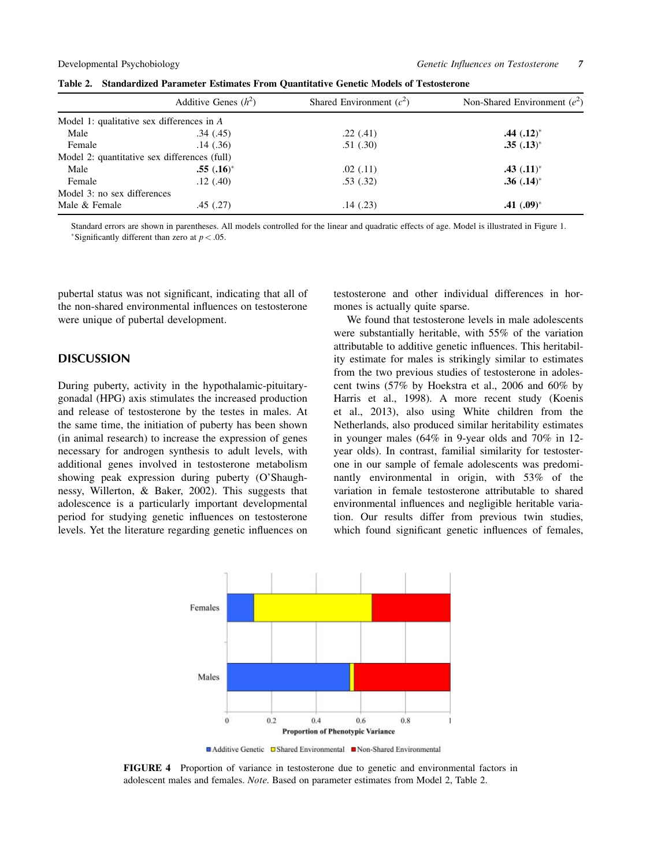|                                              | Additive Genes $(h^2)$ | Shared Environment $(c^2)$ | Non-Shared Environment $(e^2)$ |
|----------------------------------------------|------------------------|----------------------------|--------------------------------|
| Model 1: qualitative sex differences in $A$  |                        |                            |                                |
| Male                                         | .34(.45)               | .22(.41)                   | $.44$ $(.12)^*$                |
| Female                                       | .14(0.36)              | .51(.30)                   | $.35(.13)^*$                   |
| Model 2: quantitative sex differences (full) |                        |                            |                                |
| Male                                         | $.55(.16)^*$           | .02(.11)                   | $.43$ $(.11)^*$                |
| Female                                       | .12(.40)               | .53(.32)                   | $.36(.14)^*$                   |
| Model 3: no sex differences                  |                        |                            |                                |
| Male & Female                                | .45(.27)               | .14(0.23)                  | $.41(.09)^*$                   |

Table 2. Standardized Parameter Estimates From Quantitative Genetic Models of Testosterone

Standard errors are shown in parentheses. All models controlled for the linear and quadratic effects of age. Model is illustrated in Figure 1. \*Significantly different than zero at  $p < .05$ .

pubertal status was not significant, indicating that all of the non-shared environmental influences on testosterone were unique of pubertal development.

#### **DISCUSSION**

During puberty, activity in the hypothalamic-pituitarygonadal (HPG) axis stimulates the increased production and release of testosterone by the testes in males. At the same time, the initiation of puberty has been shown (in animal research) to increase the expression of genes necessary for androgen synthesis to adult levels, with additional genes involved in testosterone metabolism showing peak expression during puberty (O'Shaughnessy, Willerton, & Baker, 2002). This suggests that adolescence is a particularly important developmental period for studying genetic influences on testosterone levels. Yet the literature regarding genetic influences on testosterone and other individual differences in hormones is actually quite sparse.

We found that testosterone levels in male adolescents were substantially heritable, with 55% of the variation attributable to additive genetic influences. This heritability estimate for males is strikingly similar to estimates from the two previous studies of testosterone in adolescent twins (57% by Hoekstra et al., 2006 and 60% by Harris et al., 1998). A more recent study (Koenis et al., 2013), also using White children from the Netherlands, also produced similar heritability estimates in younger males (64% in 9-year olds and 70% in 12 year olds). In contrast, familial similarity for testosterone in our sample of female adolescents was predominantly environmental in origin, with 53% of the variation in female testosterone attributable to shared environmental influences and negligible heritable variation. Our results differ from previous twin studies, which found significant genetic influences of females,



FIGURE 4 Proportion of variance in testosterone due to genetic and environmental factors in adolescent males and females. Note. Based on parameter estimates from Model 2, Table 2.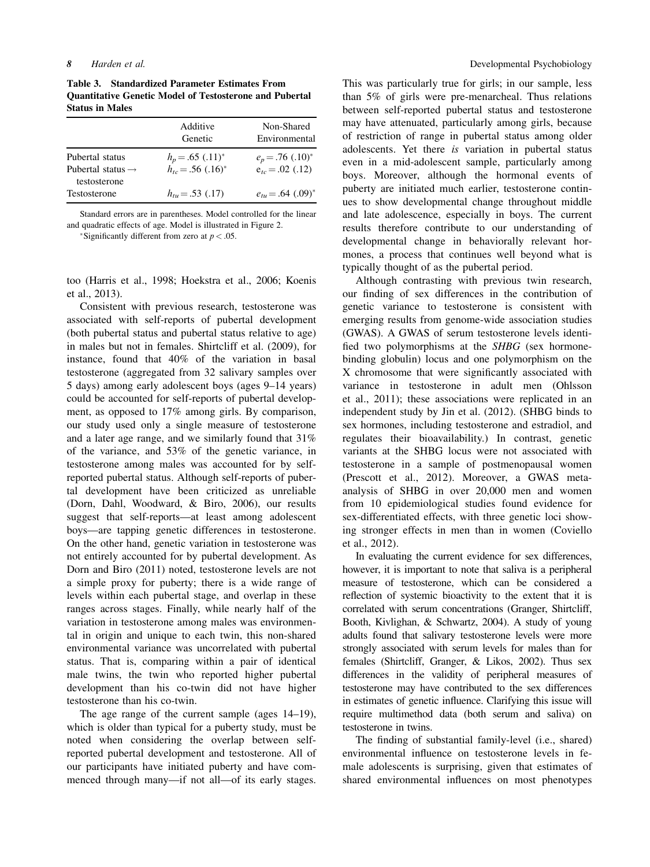Table 3. Standardized Parameter Estimates From Quantitative Genetic Model of Testosterone and Pubertal Status in Males

|                                                  | Additive<br>Genetic                                        | Non-Shared<br>Environmental                            |
|--------------------------------------------------|------------------------------------------------------------|--------------------------------------------------------|
| Pubertal status<br>Pubertal status $\rightarrow$ | $h_p = .65$ $(.11)^*$<br>$h_{tc} = .56$ (.16) <sup>*</sup> | $e_p = .76$ (.10) <sup>*</sup><br>$e_{tc} = .02$ (.12) |
| testosterone<br>Testosterone                     | $h_{tu} = .53$ (.17)                                       | $e_{tu} = .64$ (.09) <sup>*</sup>                      |

Standard errors are in parentheses. Model controlled for the linear and quadratic effects of age. Model is illustrated in Figure 2.

\*Significantly different from zero at  $p < .05$ .

too (Harris et al., 1998; Hoekstra et al., 2006; Koenis et al., 2013).

Consistent with previous research, testosterone was associated with self-reports of pubertal development (both pubertal status and pubertal status relative to age) in males but not in females. Shirtcliff et al. (2009), for instance, found that 40% of the variation in basal testosterone (aggregated from 32 salivary samples over 5 days) among early adolescent boys (ages 9–14 years) could be accounted for self-reports of pubertal development, as opposed to 17% among girls. By comparison, our study used only a single measure of testosterone and a later age range, and we similarly found that 31% of the variance, and 53% of the genetic variance, in testosterone among males was accounted for by selfreported pubertal status. Although self-reports of pubertal development have been criticized as unreliable (Dorn, Dahl, Woodward, & Biro, 2006), our results suggest that self-reports—at least among adolescent boys—are tapping genetic differences in testosterone. On the other hand, genetic variation in testosterone was not entirely accounted for by pubertal development. As Dorn and Biro (2011) noted, testosterone levels are not a simple proxy for puberty; there is a wide range of levels within each pubertal stage, and overlap in these ranges across stages. Finally, while nearly half of the variation in testosterone among males was environmental in origin and unique to each twin, this non-shared environmental variance was uncorrelated with pubertal status. That is, comparing within a pair of identical male twins, the twin who reported higher pubertal development than his co-twin did not have higher testosterone than his co-twin.

The age range of the current sample (ages 14–19), which is older than typical for a puberty study, must be noted when considering the overlap between selfreported pubertal development and testosterone. All of our participants have initiated puberty and have commenced through many—if not all—of its early stages. This was particularly true for girls; in our sample, less than 5% of girls were pre-menarcheal. Thus relations between self-reported pubertal status and testosterone may have attenuated, particularly among girls, because of restriction of range in pubertal status among older adolescents. Yet there is variation in pubertal status even in a mid-adolescent sample, particularly among boys. Moreover, although the hormonal events of puberty are initiated much earlier, testosterone continues to show developmental change throughout middle and late adolescence, especially in boys. The current results therefore contribute to our understanding of developmental change in behaviorally relevant hormones, a process that continues well beyond what is typically thought of as the pubertal period.

Although contrasting with previous twin research, our finding of sex differences in the contribution of genetic variance to testosterone is consistent with emerging results from genome-wide association studies (GWAS). A GWAS of serum testosterone levels identified two polymorphisms at the SHBG (sex hormonebinding globulin) locus and one polymorphism on the X chromosome that were significantly associated with variance in testosterone in adult men (Ohlsson et al., 2011); these associations were replicated in an independent study by Jin et al. (2012). (SHBG binds to sex hormones, including testosterone and estradiol, and regulates their bioavailability.) In contrast, genetic variants at the SHBG locus were not associated with testosterone in a sample of postmenopausal women (Prescott et al., 2012). Moreover, a GWAS metaanalysis of SHBG in over 20,000 men and women from 10 epidemiological studies found evidence for sex-differentiated effects, with three genetic loci showing stronger effects in men than in women (Coviello et al., 2012).

In evaluating the current evidence for sex differences, however, it is important to note that saliva is a peripheral measure of testosterone, which can be considered a reflection of systemic bioactivity to the extent that it is correlated with serum concentrations (Granger, Shirtcliff, Booth, Kivlighan, & Schwartz, 2004). A study of young adults found that salivary testosterone levels were more strongly associated with serum levels for males than for females (Shirtcliff, Granger, & Likos, 2002). Thus sex differences in the validity of peripheral measures of testosterone may have contributed to the sex differences in estimates of genetic influence. Clarifying this issue will require multimethod data (both serum and saliva) on testosterone in twins.

The finding of substantial family-level (i.e., shared) environmental influence on testosterone levels in female adolescents is surprising, given that estimates of shared environmental influences on most phenotypes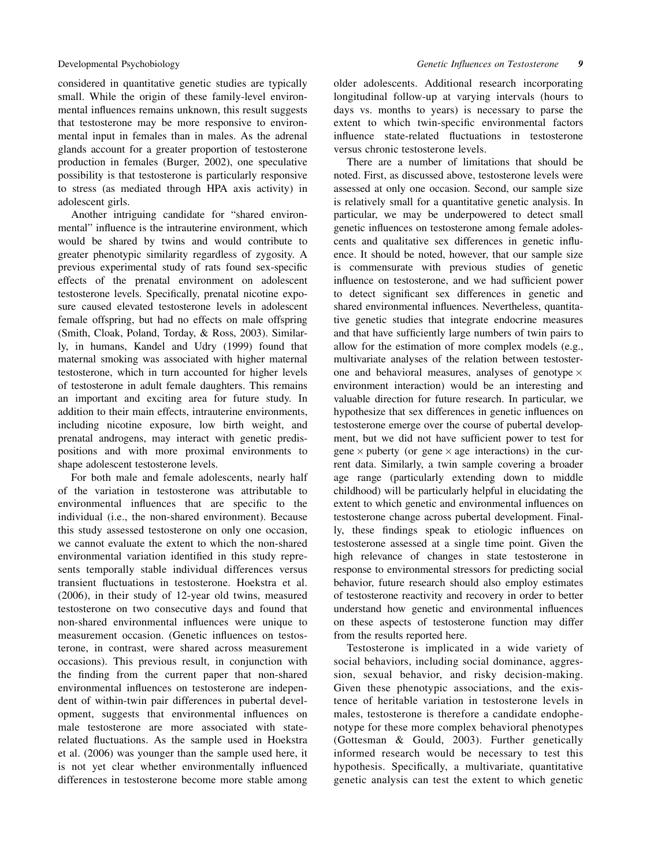considered in quantitative genetic studies are typically small. While the origin of these family-level environmental influences remains unknown, this result suggests that testosterone may be more responsive to environmental input in females than in males. As the adrenal glands account for a greater proportion of testosterone production in females (Burger, 2002), one speculative possibility is that testosterone is particularly responsive to stress (as mediated through HPA axis activity) in adolescent girls.

Another intriguing candidate for "shared environmental" influence is the intrauterine environment, which would be shared by twins and would contribute to greater phenotypic similarity regardless of zygosity. A previous experimental study of rats found sex-specific effects of the prenatal environment on adolescent testosterone levels. Specifically, prenatal nicotine exposure caused elevated testosterone levels in adolescent female offspring, but had no effects on male offspring (Smith, Cloak, Poland, Torday, & Ross, 2003). Similarly, in humans, Kandel and Udry (1999) found that maternal smoking was associated with higher maternal testosterone, which in turn accounted for higher levels of testosterone in adult female daughters. This remains an important and exciting area for future study. In addition to their main effects, intrauterine environments, including nicotine exposure, low birth weight, and prenatal androgens, may interact with genetic predispositions and with more proximal environments to shape adolescent testosterone levels.

For both male and female adolescents, nearly half of the variation in testosterone was attributable to environmental influences that are specific to the individual (i.e., the non-shared environment). Because this study assessed testosterone on only one occasion, we cannot evaluate the extent to which the non-shared environmental variation identified in this study represents temporally stable individual differences versus transient fluctuations in testosterone. Hoekstra et al. (2006), in their study of 12-year old twins, measured testosterone on two consecutive days and found that non-shared environmental influences were unique to measurement occasion. (Genetic influences on testosterone, in contrast, were shared across measurement occasions). This previous result, in conjunction with the finding from the current paper that non-shared environmental influences on testosterone are independent of within-twin pair differences in pubertal development, suggests that environmental influences on male testosterone are more associated with staterelated fluctuations. As the sample used in Hoekstra et al. (2006) was younger than the sample used here, it is not yet clear whether environmentally influenced differences in testosterone become more stable among older adolescents. Additional research incorporating longitudinal follow-up at varying intervals (hours to days vs. months to years) is necessary to parse the extent to which twin-specific environmental factors influence state-related fluctuations in testosterone versus chronic testosterone levels.

There are a number of limitations that should be noted. First, as discussed above, testosterone levels were assessed at only one occasion. Second, our sample size is relatively small for a quantitative genetic analysis. In particular, we may be underpowered to detect small genetic influences on testosterone among female adolescents and qualitative sex differences in genetic influence. It should be noted, however, that our sample size is commensurate with previous studies of genetic influence on testosterone, and we had sufficient power to detect significant sex differences in genetic and shared environmental influences. Nevertheless, quantitative genetic studies that integrate endocrine measures and that have sufficiently large numbers of twin pairs to allow for the estimation of more complex models (e.g., multivariate analyses of the relation between testosterone and behavioral measures, analyses of genotype  $\times$ environment interaction) would be an interesting and valuable direction for future research. In particular, we hypothesize that sex differences in genetic influences on testosterone emerge over the course of pubertal development, but we did not have sufficient power to test for gene  $\times$  puberty (or gene  $\times$  age interactions) in the current data. Similarly, a twin sample covering a broader age range (particularly extending down to middle childhood) will be particularly helpful in elucidating the extent to which genetic and environmental influences on testosterone change across pubertal development. Finally, these findings speak to etiologic influences on testosterone assessed at a single time point. Given the high relevance of changes in state testosterone in response to environmental stressors for predicting social behavior, future research should also employ estimates of testosterone reactivity and recovery in order to better understand how genetic and environmental influences on these aspects of testosterone function may differ from the results reported here.

Testosterone is implicated in a wide variety of social behaviors, including social dominance, aggression, sexual behavior, and risky decision-making. Given these phenotypic associations, and the existence of heritable variation in testosterone levels in males, testosterone is therefore a candidate endophenotype for these more complex behavioral phenotypes (Gottesman & Gould, 2003). Further genetically informed research would be necessary to test this hypothesis. Specifically, a multivariate, quantitative genetic analysis can test the extent to which genetic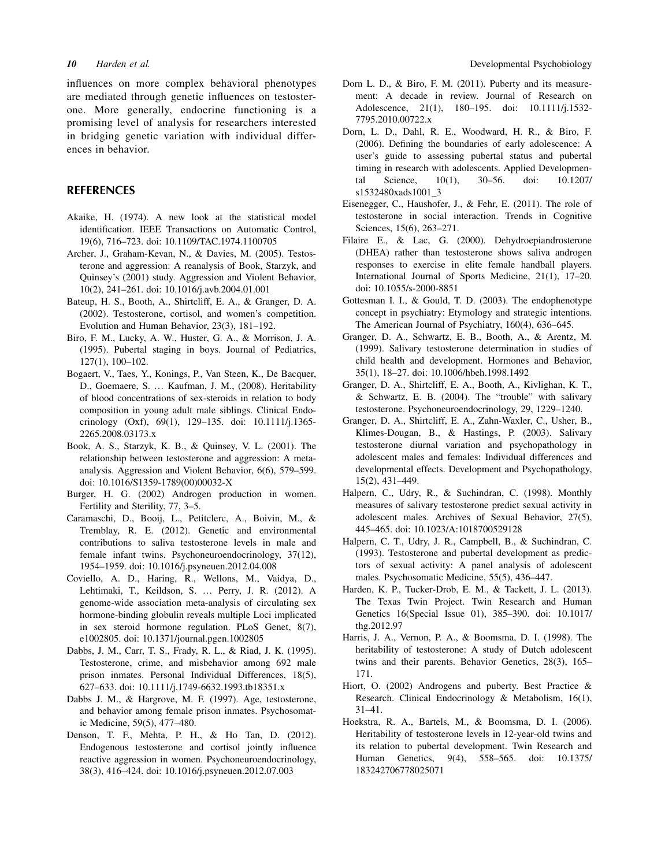influences on more complex behavioral phenotypes are mediated through genetic influences on testosterone. More generally, endocrine functioning is a promising level of analysis for researchers interested in bridging genetic variation with individual differences in behavior.

#### REFERENCES

- Akaike, H. (1974). A new look at the statistical model identification. IEEE Transactions on Automatic Control, 19(6), 716–723. doi: 10.1109/TAC.1974.1100705
- Archer, J., Graham-Kevan, N., & Davies, M. (2005). Testosterone and aggression: A reanalysis of Book, Starzyk, and Quinsey's (2001) study. Aggression and Violent Behavior, 10(2), 241–261. doi: 10.1016/j.avb.2004.01.001
- Bateup, H. S., Booth, A., Shirtcliff, E. A., & Granger, D. A. (2002). Testosterone, cortisol, and women's competition. Evolution and Human Behavior, 23(3), 181–192.
- Biro, F. M., Lucky, A. W., Huster, G. A., & Morrison, J. A. (1995). Pubertal staging in boys. Journal of Pediatrics, 127(1), 100–102.
- Bogaert, V., Taes, Y., Konings, P., Van Steen, K., De Bacquer, D., Goemaere, S. … Kaufman, J. M., (2008). Heritability of blood concentrations of sex-steroids in relation to body composition in young adult male siblings. Clinical Endocrinology (Oxf), 69(1), 129–135. doi: 10.1111/j.1365- 2265.2008.03173.x
- Book, A. S., Starzyk, K. B., & Quinsey, V. L. (2001). The relationship between testosterone and aggression: A metaanalysis. Aggression and Violent Behavior, 6(6), 579–599. doi: 10.1016/S1359-1789(00)00032-X
- Burger, H. G. (2002) Androgen production in women. Fertility and Sterility, 77, 3–5.
- Caramaschi, D., Booij, L., Petitclerc, A., Boivin, M., & Tremblay, R. E. (2012). Genetic and environmental contributions to saliva testosterone levels in male and female infant twins. Psychoneuroendocrinology, 37(12), 1954–1959. doi: 10.1016/j.psyneuen.2012.04.008
- Coviello, A. D., Haring, R., Wellons, M., Vaidya, D., Lehtimaki, T., Keildson, S. … Perry, J. R. (2012). A genome-wide association meta-analysis of circulating sex hormone-binding globulin reveals multiple Loci implicated in sex steroid hormone regulation. PLoS Genet, 8(7), e1002805. doi: 10.1371/journal.pgen.1002805
- Dabbs, J. M., Carr, T. S., Frady, R. L., & Riad, J. K. (1995). Testosterone, crime, and misbehavior among 692 male prison inmates. Personal Individual Differences, 18(5), 627–633. doi: 10.1111/j.1749-6632.1993.tb18351.x
- Dabbs J. M., & Hargrove, M. F. (1997). Age, testosterone, and behavior among female prison inmates. Psychosomatic Medicine, 59(5), 477–480.
- Denson, T. F., Mehta, P. H., & Ho Tan, D. (2012). Endogenous testosterone and cortisol jointly influence reactive aggression in women. Psychoneuroendocrinology, 38(3), 416–424. doi: 10.1016/j.psyneuen.2012.07.003
- Dorn L. D., & Biro, F. M. (2011). Puberty and its measurement: A decade in review. Journal of Research on Adolescence, 21(1), 180–195. doi: 10.1111/j.1532- 7795.2010.00722.x
- Dorn, L. D., Dahl, R. E., Woodward, H. R., & Biro, F. (2006). Defining the boundaries of early adolescence: A user's guide to assessing pubertal status and pubertal timing in research with adolescents. Applied Developmental Science, 10(1), 30–56. doi: 10.1207/ s1532480xads1001\_3
- Eisenegger, C., Haushofer, J., & Fehr, E. (2011). The role of testosterone in social interaction. Trends in Cognitive Sciences, 15(6), 263–271.
- Filaire E., & Lac, G. (2000). Dehydroepiandrosterone (DHEA) rather than testosterone shows saliva androgen responses to exercise in elite female handball players. International Journal of Sports Medicine, 21(1), 17–20. doi: 10.1055/s-2000-8851
- Gottesman I. I., & Gould, T. D. (2003). The endophenotype concept in psychiatry: Etymology and strategic intentions. The American Journal of Psychiatry, 160(4), 636–645.
- Granger, D. A., Schwartz, E. B., Booth, A., & Arentz, M. (1999). Salivary testosterone determination in studies of child health and development. Hormones and Behavior, 35(1), 18–27. doi: 10.1006/hbeh.1998.1492
- Granger, D. A., Shirtcliff, E. A., Booth, A., Kivlighan, K. T., & Schwartz, E. B. (2004). The "trouble" with salivary testosterone. Psychoneuroendocrinology, 29, 1229–1240.
- Granger, D. A., Shirtcliff, E. A., Zahn-Waxler, C., Usher, B., Klimes-Dougan, B., & Hastings, P. (2003). Salivary testosterone diurnal variation and psychopathology in adolescent males and females: Individual differences and developmental effects. Development and Psychopathology, 15(2), 431–449.
- Halpern, C., Udry, R., & Suchindran, C. (1998). Monthly measures of salivary testosterone predict sexual activity in adolescent males. Archives of Sexual Behavior, 27(5), 445–465. doi: 10.1023/A:1018700529128
- Halpern, C. T., Udry, J. R., Campbell, B., & Suchindran, C. (1993). Testosterone and pubertal development as predictors of sexual activity: A panel analysis of adolescent males. Psychosomatic Medicine, 55(5), 436–447.
- Harden, K. P., Tucker-Drob, E. M., & Tackett, J. L. (2013). The Texas Twin Project. Twin Research and Human Genetics 16(Special Issue 01), 385–390. doi: 10.1017/ thg.2012.97
- Harris, J. A., Vernon, P. A., & Boomsma, D. I. (1998). The heritability of testosterone: A study of Dutch adolescent twins and their parents. Behavior Genetics, 28(3), 165– 171.
- Hiort, O. (2002) Androgens and puberty. Best Practice & Research. Clinical Endocrinology & Metabolism, 16(1), 31–41.
- Hoekstra, R. A., Bartels, M., & Boomsma, D. I. (2006). Heritability of testosterone levels in 12-year-old twins and its relation to pubertal development. Twin Research and Human Genetics, 9(4), 558–565. doi: 10.1375/ 183242706778025071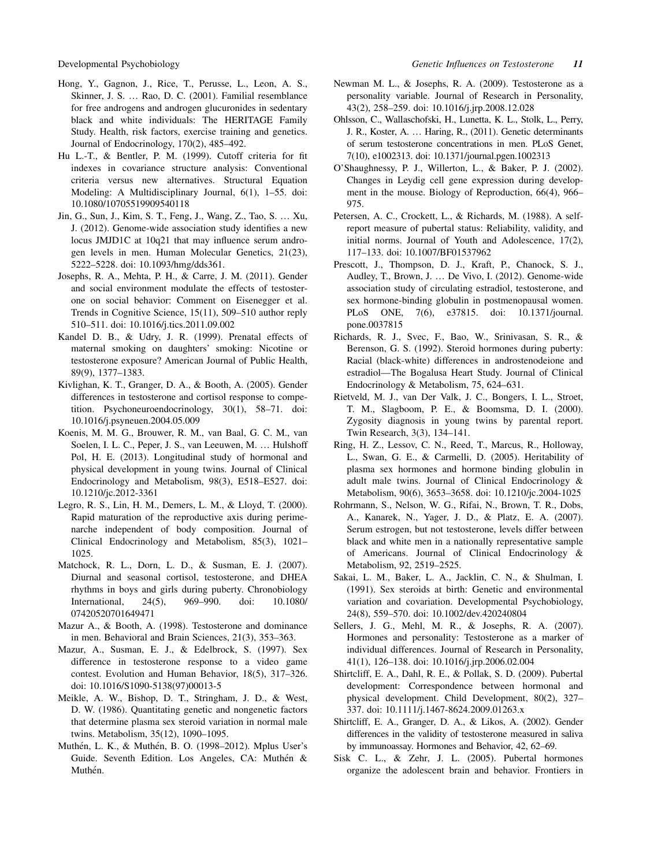- Hong, Y., Gagnon, J., Rice, T., Perusse, L., Leon, A. S., Skinner, J. S. … Rao, D. C. (2001). Familial resemblance for free androgens and androgen glucuronides in sedentary black and white individuals: The HERITAGE Family Study. Health, risk factors, exercise training and genetics. Journal of Endocrinology, 170(2), 485–492.
- Hu L.-T., & Bentler, P. M. (1999). Cutoff criteria for fit indexes in covariance structure analysis: Conventional criteria versus new alternatives. Structural Equation Modeling: A Multidisciplinary Journal, 6(1), 1–55. doi: 10.1080/10705519909540118
- Jin, G., Sun, J., Kim, S. T., Feng, J., Wang, Z., Tao, S. … Xu, J. (2012). Genome-wide association study identifies a new locus JMJD1C at 10q21 that may influence serum androgen levels in men. Human Molecular Genetics, 21(23), 5222–5228. doi: 10.1093/hmg/dds361.
- Josephs, R. A., Mehta, P. H., & Carre, J. M. (2011). Gender and social environment modulate the effects of testosterone on social behavior: Comment on Eisenegger et al. Trends in Cognitive Science, 15(11), 509–510 author reply 510–511. doi: 10.1016/j.tics.2011.09.002
- Kandel D. B., & Udry, J. R. (1999). Prenatal effects of maternal smoking on daughters' smoking: Nicotine or testosterone exposure? American Journal of Public Health, 89(9), 1377–1383.
- Kivlighan, K. T., Granger, D. A., & Booth, A. (2005). Gender differences in testosterone and cortisol response to competition. Psychoneuroendocrinology, 30(1), 58–71. doi: 10.1016/j.psyneuen.2004.05.009
- Koenis, M. M. G., Brouwer, R. M., van Baal, G. C. M., van Soelen, I. L. C., Peper, J. S., van Leeuwen, M. … Hulshoff Pol, H. E. (2013). Longitudinal study of hormonal and physical development in young twins. Journal of Clinical Endocrinology and Metabolism, 98(3), E518–E527. doi: 10.1210/jc.2012-3361
- Legro, R. S., Lin, H. M., Demers, L. M., & Lloyd, T. (2000). Rapid maturation of the reproductive axis during perimenarche independent of body composition. Journal of Clinical Endocrinology and Metabolism, 85(3), 1021– 1025.
- Matchock, R. L., Dorn, L. D., & Susman, E. J. (2007). Diurnal and seasonal cortisol, testosterone, and DHEA rhythms in boys and girls during puberty. Chronobiology International, 24(5), 969–990. doi: 10.1080/ 07420520701649471
- Mazur A., & Booth, A. (1998). Testosterone and dominance in men. Behavioral and Brain Sciences, 21(3), 353–363.
- Mazur, A., Susman, E. J., & Edelbrock, S. (1997). Sex difference in testosterone response to a video game contest. Evolution and Human Behavior, 18(5), 317–326. doi: 10.1016/S1090-5138(97)00013-5
- Meikle, A. W., Bishop, D. T., Stringham, J. D., & West, D. W. (1986). Quantitating genetic and nongenetic factors that determine plasma sex steroid variation in normal male twins. Metabolism, 35(12), 1090–1095.
- Muthén, L. K., & Muthén, B. O. (1998–2012). Mplus User's Guide. Seventh Edition. Los Angeles, CA: Muthén & Muthén.
- Newman M. L., & Josephs, R. A. (2009). Testosterone as a personality variable. Journal of Research in Personality, 43(2), 258–259. doi: 10.1016/j.jrp.2008.12.028
- Ohlsson, C., Wallaschofski, H., Lunetta, K. L., Stolk, L., Perry, J. R., Koster, A. … Haring, R., (2011). Genetic determinants of serum testosterone concentrations in men. PLoS Genet, 7(10), e1002313. doi: 10.1371/journal.pgen.1002313
- O'Shaughnessy, P. J., Willerton, L., & Baker, P. J. (2002). Changes in Leydig cell gene expression during development in the mouse. Biology of Reproduction, 66(4), 966– 975.
- Petersen, A. C., Crockett, L., & Richards, M. (1988). A selfreport measure of pubertal status: Reliability, validity, and initial norms. Journal of Youth and Adolescence, 17(2), 117–133. doi: 10.1007/BF01537962
- Prescott, J., Thompson, D. J., Kraft, P., Chanock, S. J., Audley, T., Brown, J. … De Vivo, I. (2012). Genome-wide association study of circulating estradiol, testosterone, and sex hormone-binding globulin in postmenopausal women. PLoS ONE, 7(6), e37815. doi: 10.1371/journal. pone.0037815
- Richards, R. J., Svec, F., Bao, W., Srinivasan, S. R., & Berenson, G. S. (1992). Steroid hormones during puberty: Racial (black-white) differences in androstenodeione and estradiol—The Bogalusa Heart Study. Journal of Clinical Endocrinology & Metabolism, 75, 624–631.
- Rietveld, M. J., van Der Valk, J. C., Bongers, I. L., Stroet, T. M., Slagboom, P. E., & Boomsma, D. I. (2000). Zygosity diagnosis in young twins by parental report. Twin Research, 3(3), 134–141.
- Ring, H. Z., Lessov, C. N., Reed, T., Marcus, R., Holloway, L., Swan, G. E., & Carmelli, D. (2005). Heritability of plasma sex hormones and hormone binding globulin in adult male twins. Journal of Clinical Endocrinology & Metabolism, 90(6), 3653–3658. doi: 10.1210/jc.2004-1025
- Rohrmann, S., Nelson, W. G., Rifai, N., Brown, T. R., Dobs, A., Kanarek, N., Yager, J. D., & Platz, E. A. (2007). Serum estrogen, but not testosterone, levels differ between black and white men in a nationally representative sample of Americans. Journal of Clinical Endocrinology & Metabolism, 92, 2519–2525.
- Sakai, L. M., Baker, L. A., Jacklin, C. N., & Shulman, I. (1991). Sex steroids at birth: Genetic and environmental variation and covariation. Developmental Psychobiology, 24(8), 559–570. doi: 10.1002/dev.420240804
- Sellers, J. G., Mehl, M. R., & Josephs, R. A. (2007). Hormones and personality: Testosterone as a marker of individual differences. Journal of Research in Personality, 41(1), 126–138. doi: 10.1016/j.jrp.2006.02.004
- Shirtcliff, E. A., Dahl, R. E., & Pollak, S. D. (2009). Pubertal development: Correspondence between hormonal and physical development. Child Development, 80(2), 327– 337. doi: 10.1111/j.1467-8624.2009.01263.x
- Shirtcliff, E. A., Granger, D. A., & Likos, A. (2002). Gender differences in the validity of testosterone measured in saliva by immunoassay. Hormones and Behavior, 42, 62–69.
- Sisk C. L., & Zehr, J. L. (2005). Pubertal hormones organize the adolescent brain and behavior. Frontiers in